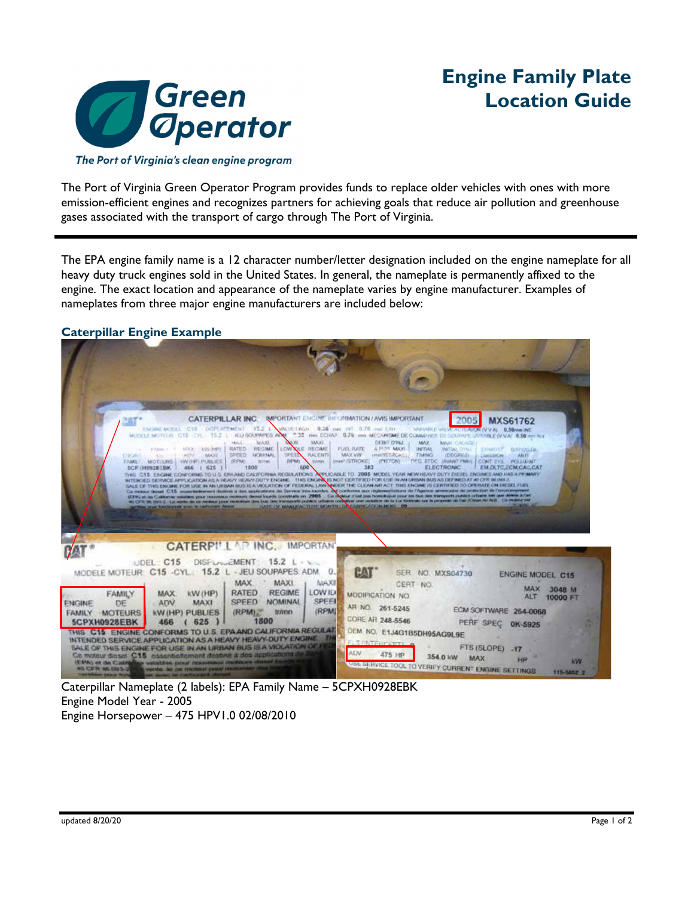

# **Engine Family Plate Location Guide**

The Port of Virginia's clean engine program

The Port of Virginia Green Operator Program provides funds to replace older vehicles with ones with more emission-efficient engines and recognizes partners for achieving goals that reduce air pollution and greenhouse gases associated with the transport of cargo through The Port of Virginia.

The EPA engine family name is a 12 character number/letter designation included on the engine nameplate for all heavy duty truck engines sold in the United States. In general, the nameplate is permanently affixed to the engine. The exact location and appearance of the nameplate varies by engine manufacturer. Examples of nameplates from three major engine manufacturers are included below:

## **Caterpillar Engine Example**



Caterpillar Nameplate (2 labels): EPA Family Name – 5CPXH0928EBK Engine Model Year - 2005 Engine Horsepower – 475 HPV1.0 02/08/2010